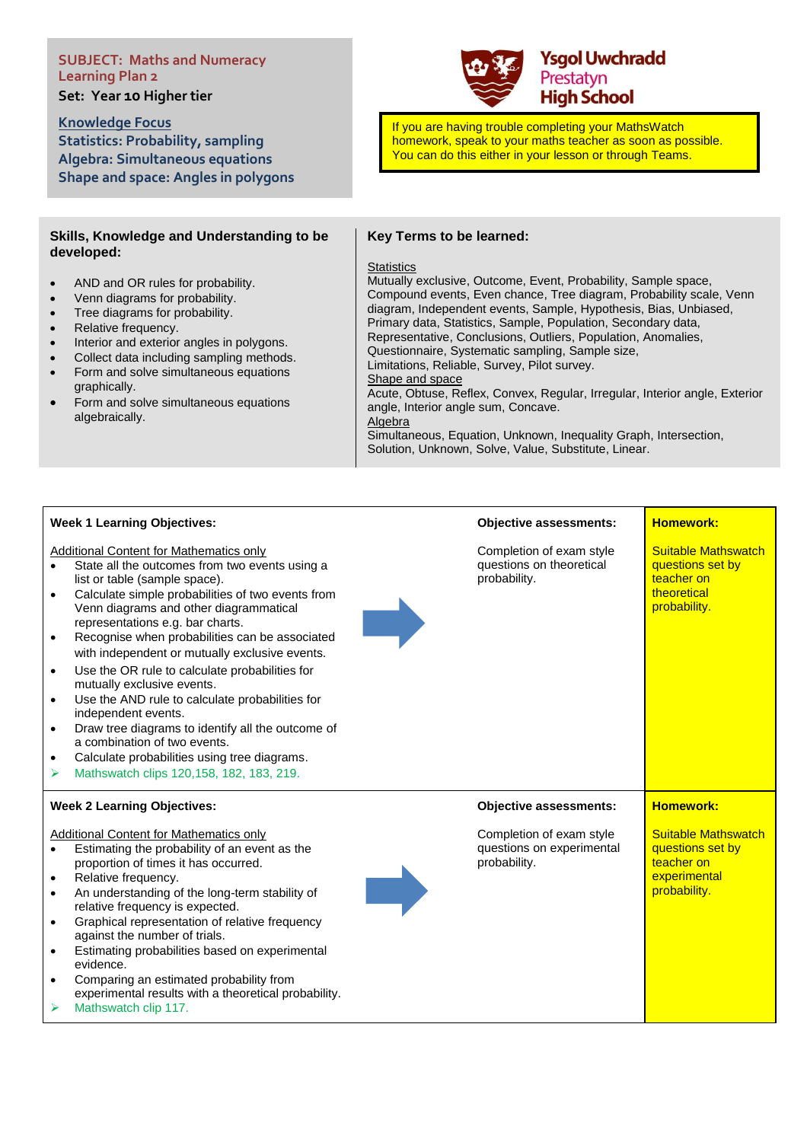# **SUBJECT: Maths and Numeracy Learning Plan 2**

**Set: Year 10 Higher tier** 

**Knowledge Focus Statistics: Probability, sampling Algebra: Simultaneous equations Shape and space: Angles in polygons**

### **Skills, Knowledge and Understanding to be developed:**

- AND and OR rules for probability.
- Venn diagrams for probability.
- Tree diagrams for probability.
- Relative frequency.
- Interior and exterior angles in polygons.
- Collect data including sampling methods.
- Form and solve simultaneous equations graphically.
- Form and solve simultaneous equations algebraically.

# **Key Terms to be learned:**

#### **Statistics**

Mutually exclusive, Outcome, Event, Probability, Sample space, Compound events, Even chance, Tree diagram, Probability scale, Venn diagram, Independent events, Sample, Hypothesis, Bias, Unbiased, Primary data, Statistics, Sample, Population, Secondary data, Representative, Conclusions, Outliers, Population, Anomalies, Questionnaire, Systematic sampling, Sample size, Limitations, Reliable, Survey, Pilot survey. Shape and space Acute, Obtuse, Reflex, Convex, Regular, Irregular, Interior angle, Exterior angle, Interior angle sum, Concave. Algebra

Simultaneous, Equation, Unknown, Inequality Graph, Intersection, Solution, Unknown, Solve, Value, Substitute, Linear.

| Week 1 Learning Objectives: |  |
|-----------------------------|--|
|-----------------------------|--|

Additional Content for Mathematics only

- State all the outcomes from two events using a list or table (sample space).
- Calculate simple probabilities of two events from Venn diagrams and other diagrammatical representations e.g. bar charts.
- Recognise when probabilities can be associated with independent or mutually exclusive events.
- Use the OR rule to calculate probabilities for mutually exclusive events.
- Use the AND rule to calculate probabilities for independent events.
- Draw tree diagrams to identify all the outcome of a combination of two events.
- Calculate probabilities using tree diagrams.
- ➢ Mathswatch clips 120,158, 182, 183, 219.

### **Week 2 Learning Objectives:**

#### Additional Content for Mathematics only

- Estimating the probability of an event as the proportion of times it has occurred.
- Relative frequency.
- An understanding of the long-term stability of relative frequency is expected.
- Graphical representation of relative frequency against the number of trials.
- Estimating probabilities based on experimental evidence.
- Comparing an estimated probability from experimental results with a theoretical probability.
- ➢ Mathswatch clip 117.



### **Homework:**

**Homework:**

Suitable Mathswatch questions set by teacher on **experimental** probability.

Suitable Mathswatch questions set by teacher on theoretical probability.

Completion of exam style questions on theoretical probability.

**Objective assessments:**

# **Objective assessments:**

Completion of exam style questions on experimental



# **Ysgol Uwchradd** Prestatyn **High School**

If you are having trouble completing your MathsWatch homework, speak to your maths teacher as soon as possible. You can do this either in your lesson or through Teams.